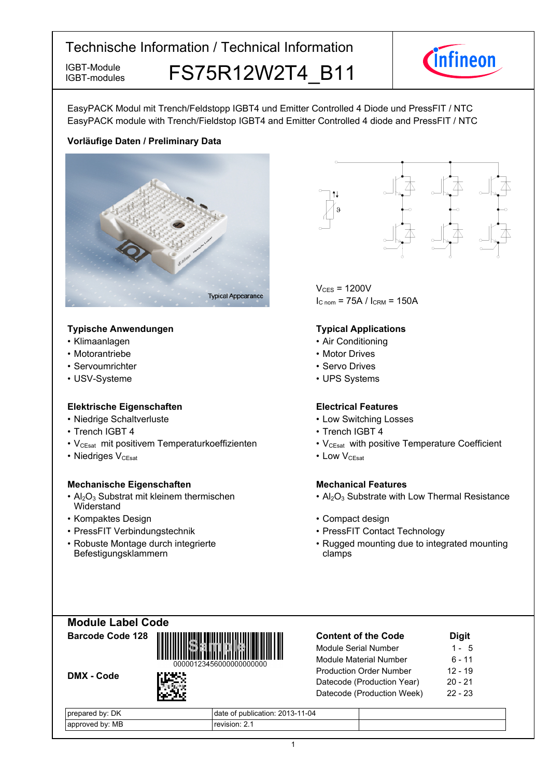IGBT-modules

IGBT-Module **FS75R12W2T4 B11** 



EasyPACK Modul mit Trench/Feldstopp IGBT4 und Emitter Controlled 4 Diode und PressFIT / NTC EasyPACK module with Trench/Fieldstop IGBT4 and Emitter Controlled 4 diode and PressFIT / NTC

### **Vorläufige-Daten-/-Preliminary-Data**



#### **Typische-Anwendungen Typical-**

- Klimaanlagen
- Motorantriebe
- Servoumrichter
- USV-Systeme

#### **Elektrische Eigenschaften Electrical-**

- Niedrige-Schaltverluste Low-
- Trench IGBT
- V<sub>CEsat</sub> mit positivem Temperaturkoeffizienten V<sub>CEsat</sub>
- Niedriges V<sub>CEsat</sub>

#### **Mechanische Eigenschaften Mechanical-**

- $Al_2O_3$  Substrat mit kleinem thermischen **Widerstand**
- Kompaktes Design
- PressFIT Verbindungstechnik PressFIT
- Robuste Montage durch integrierte Befestigungsklammern



 $V_{CFS}$  = 1200V  $I_{C nom}$  = 75A /  $I_{CRM}$  = 150A

#### **Typical Applications**

- Air Conditioning
- Motor Drives
- Servo Drives
- UPS Systems

#### **Electrical Features**

- Switching Losses
- 4 Trench IGBT 4
	- with positive Temperature Coefficient
- $V_{\text{CEsat}}$  Low  $V_{\text{CEsat}}$

### **Mechanical Features**

- Al<sub>2</sub>O<sub>3</sub> Substrate with Low Thermal Resistance
- Design **begins and the Compact design Compact design** 
	- Contact Technology
	- Rugged mounting due to integrated mounting clamps

| <b>Module Label Code</b> |  |
|--------------------------|--|
| Barcode Code 128         |  |



DMX - Code



| DK<br>bv:<br>$\cdots$<br>. | $1 - 04$<br>$\sim$<br>∴ ρublication: 2013-11<br>date<br>JΙ |  |
|----------------------------|------------------------------------------------------------|--|
| МB<br>MML<br>nv            | revision.                                                  |  |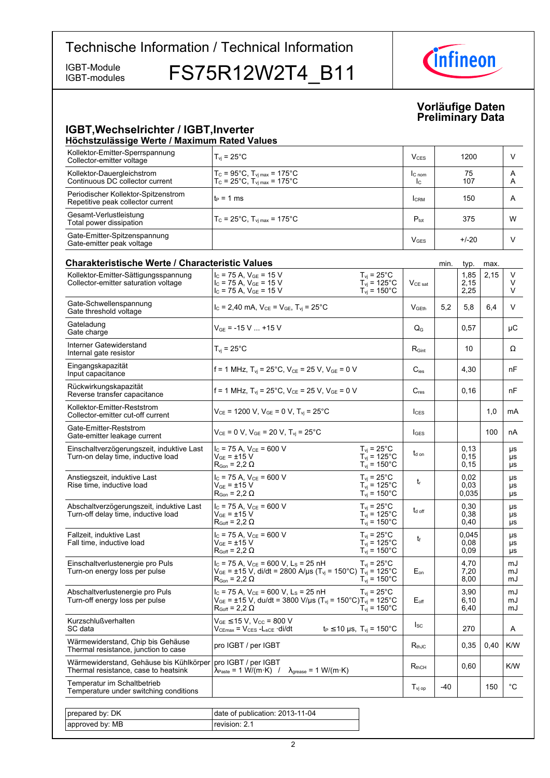IGBT-modules

IGBT-Module FS75R12W2T4\_B11



#### **Vorläufige-Daten Preliminary-Data**

#### **IGBT, Wechselrichter / IGBT, Inverter Höchstzulässige-Werte-/-Maximum-Rated-Values**

| Kollektor-Emitter-Sperrspannung<br>Collector-emitter voltage             | $T_{vi}$ = 25°C                                                                                                       | V <sub>CES</sub>       | 1200                 | ν      |
|--------------------------------------------------------------------------|-----------------------------------------------------------------------------------------------------------------------|------------------------|----------------------|--------|
| Kollektor-Dauergleichstrom<br>Continuous DC collector current            | $T_c = 95^{\circ}$ C, $T_{\text{vi max}} = 175^{\circ}$ C<br>$T_c = 25^{\circ}C$ , $T_{\text{vi max}} = 175^{\circ}C$ | $C_{nom}$<br>Ic.       | 75<br>107            | A<br>A |
| Periodischer Kollektor-Spitzenstrom<br>Repetitive peak collector current | $t_P = 1$ ms                                                                                                          | <b>CRM</b>             | 150                  | A      |
| Gesamt-Verlustleistung<br>Total power dissipation                        | $T_c = 25^{\circ}C$ , $T_{\text{vi max}} = 175^{\circ}C$                                                              | $P_{\text{tot}}$       | 375                  | W      |
| Gate-Emitter-Spitzenspannung<br>Gate-emitter peak voltage                |                                                                                                                       | <b>V<sub>GES</sub></b> | $+/-20$              | V      |
| <b>Charakteristische Werte / Characteristic Values</b>                   |                                                                                                                       |                        | min.<br>max.<br>typ. |        |

| Kollektor-Emitter-Sättigungsspannung<br>Collector-emitter saturation voltage    | $I_C$ = 75 A, $V_{GE}$ = 15 V<br>$I_C$ = 75 A, $V_{GF}$ = 15 V<br>$I_c$ = 75 A, $V_{GE}$ = 15 V                                                                             | $T_{vi}$ = 25°C<br>$T_{vi} = 125^{\circ}$ C<br>$T_{vi}$ = 150 $^{\circ}$ C                | $V_{CE\ sat}$       |       | 1,85<br>2,15<br>2,25  | 2,15 | V<br>V<br>V    |
|---------------------------------------------------------------------------------|-----------------------------------------------------------------------------------------------------------------------------------------------------------------------------|-------------------------------------------------------------------------------------------|---------------------|-------|-----------------------|------|----------------|
| Gate-Schwellenspannung<br>Gate threshold voltage                                | $I_c = 2,40$ mA, $V_{CE} = V_{GE}$ , $T_{vi} = 25^{\circ}$ C                                                                                                                |                                                                                           | V <sub>GFth</sub>   | 5.2   | 5,8                   | 6.4  | V              |
| Gateladung<br>Gate charge                                                       | $V_{GE}$ = -15 V  +15 V                                                                                                                                                     |                                                                                           | $Q_{G}$             |       | 0.57                  |      | μC             |
| Interner Gatewiderstand<br>Internal gate resistor                               | $T_{vi}$ = 25 $^{\circ}$ C                                                                                                                                                  |                                                                                           | $R_{\text{Gint}}$   |       | 10                    |      | Ω              |
| Eingangskapazität<br>Input capacitance                                          | f = 1 MHz, $T_{vi}$ = 25°C, $V_{CE}$ = 25 V, $V_{GE}$ = 0 V                                                                                                                 |                                                                                           | $C_{\text{ies}}$    |       | 4,30                  |      | nF             |
| Rückwirkungskapazität<br>Reverse transfer capacitance                           | f = 1 MHz, $T_{vi}$ = 25°C, $V_{CE}$ = 25 V, $V_{GE}$ = 0 V                                                                                                                 |                                                                                           | $C_{res}$           |       | 0, 16                 |      | nF             |
| Kollektor-Emitter-Reststrom<br>Collector-emitter cut-off current                | $V_{CE}$ = 1200 V, $V_{GE}$ = 0 V, $T_{vj}$ = 25°C                                                                                                                          |                                                                                           | $I_{CES}$           |       |                       | 1,0  | <b>mA</b>      |
| Gate-Emitter-Reststrom<br>Gate-emitter leakage current                          | $V_{CF}$ = 0 V, $V_{GE}$ = 20 V, $T_{vi}$ = 25°C                                                                                                                            |                                                                                           | $I_{\text{GES}}$    |       |                       | 100  | nA             |
| Einschaltverzögerungszeit, induktive Last<br>Turn-on delay time, inductive load | $I_C$ = 75 A, $V_{CE}$ = 600 V<br>$V_{GF}$ = $\pm$ 15 V<br>$R_{\text{Gon}} = 2.2 \Omega$                                                                                    | $T_{\rm vj}$ = 25°C<br>$T_{\text{vj}} = 125^{\circ} \text{C}$<br>$T_{vi} = 150^{\circ}$ C | t <sub>d on</sub>   |       | 0,13<br>0,15<br>0, 15 |      | μs<br>μs<br>μs |
| Anstiegszeit, induktive Last<br>Rise time, inductive load                       | $I_C$ = 75 A, $V_{CE}$ = 600 V<br>$V_{GE}$ = $\pm$ 15 V<br>$R_{\text{Gon}} = 2.2 \Omega$                                                                                    | $T_{\rm vj}$ = 25°C<br>$T_{vi} = 125^{\circ}$ C<br>$T_{\text{vi}} = 150^{\circ}$ C        | $t_{r}$             |       | 0.02<br>0,03<br>0.035 |      | μs<br>μs<br>μs |
| Abschaltverzögerungszeit, induktive Last<br>Turn-off delay time, inductive load | $I_C$ = 75 A, $V_{CE}$ = 600 V<br>$V_{GF}$ = $\pm$ 15 V<br>$R_{Goff}$ = 2,2 $\Omega$                                                                                        | $T_{vi}$ = 25°C<br>$T_{vi}$ = 125 $^{\circ}$ C<br>$T_{\text{vj}}$ = 150°C                 | $t_{d \text{ off}}$ |       | 0,30<br>0,38<br>0,40  |      | μs<br>μs<br>μs |
| Fallzeit, induktive Last<br>Fall time, inductive load                           | $I_C$ = 75 A, $V_{CE}$ = 600 V<br>$V_{GE}$ = $\pm$ 15 V<br>$R_{Goff}$ = 2,2 $\Omega$                                                                                        | $T_{vi}$ = 25 $^{\circ}$ C<br>$T_{vi} = 125^{\circ}$ C<br>$T_{\text{vj}}$ = 150°C         | t                   |       | 0,045<br>0.08<br>0,09 |      | μs<br>μs<br>μs |
| Einschaltverlustenergie pro Puls<br>Turn-on energy loss per pulse               | $I_C$ = 75 A, $V_{CE}$ = 600 V, L <sub>S</sub> = 25 nH<br>$V_{GE}$ = ±15 V, di/dt = 2800 A/µs (T <sub>vj</sub> = 150°C) T <sub>vj</sub> = 125°C<br>$R_{Gon}$ = 2,2 $\Omega$ | $T_{vi}$ = 25°C<br>$T_{vi}$ = 150 $^{\circ}$ C                                            | $E_{on}$            |       | 4,70<br>7,20<br>8,00  |      | mJ<br>mJ<br>mJ |
| Abschaltverlustenergie pro Puls<br>Turn-off energy loss per pulse               | $I_C$ = 75 A, $V_{CE}$ = 600 V, L <sub>S</sub> = 25 nH<br>$V_{GE}$ = ±15 V, du/dt = 3800 V/µs (T <sub>vj</sub> = 150°C)T <sub>vj</sub> = 125°C<br>$R_{Goff}$ = 2,2 $\Omega$ | $T_{vi}$ = 25°C<br>$T_{vi}$ = 150 $^{\circ}$ C                                            | $E_{\text{off}}$    |       | 3.90<br>6,10<br>6,40  |      | mJ<br>mJ<br>mJ |
| <b>Kurzschlußverhalten</b><br>SC data                                           | $V_{GE}$ $\leq$ 15 V. V <sub>CC</sub> = 800 V<br>$V_{CEmax} = V_{CES} - L_{sCE} \cdot di/dt$                                                                                | $t_P \le 10 \text{ }\mu\text{s}, T_{vi} = 150^{\circ}\text{C}$                            | $I_{SC}$            |       | 270                   |      | A              |
| Wärmewiderstand, Chip bis Gehäuse<br>Thermal resistance, junction to case       | pro IGBT / per IGBT                                                                                                                                                         |                                                                                           | $R_{thJC}$          |       | 0,35                  | 0,40 | K/W            |
| Wärmewiderstand, Gehäuse bis Kühlkörper<br>Thermal resistance, case to heatsink | pro IGBT / per IGBT<br>$\lambda_{\text{Paste}} = 1 \text{ W/(m·K)}$ / $\lambda_{\text{grease}} = 1 \text{ W/(m·K)}$                                                         |                                                                                           | $R_{thCH}$          |       | 0,60                  |      | K/W            |
| Temperatur im Schaltbetrieb<br>Temperature under switching conditions           |                                                                                                                                                                             |                                                                                           | $T_{\rm vi\,op}$    | $-40$ |                       | 150  | $^{\circ}$ C   |
|                                                                                 |                                                                                                                                                                             |                                                                                           |                     |       |                       |      |                |
| prepared by: DK                                                                 | date of publication: 2013-11-04                                                                                                                                             |                                                                                           |                     |       |                       |      |                |
| approved by: MB                                                                 | revision: 2.1                                                                                                                                                               |                                                                                           |                     |       |                       |      |                |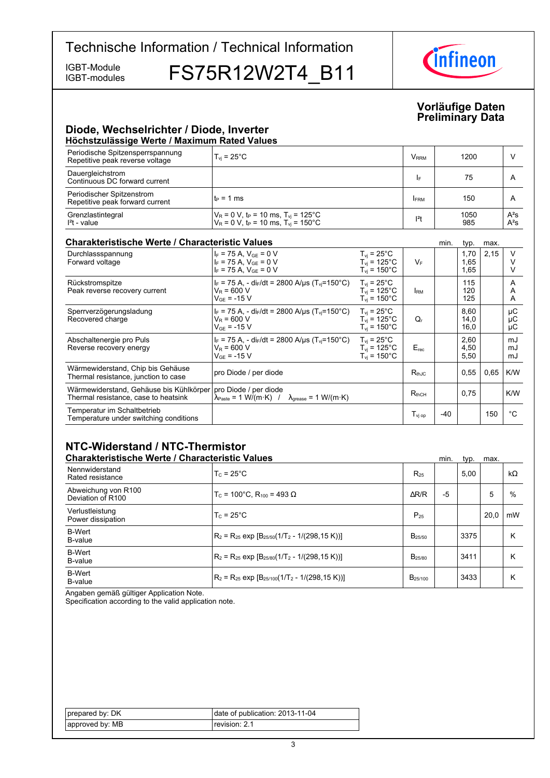IGBT-modules

IGBT-Module FS75R12W2T4\_B11



#### **Vorläufige-Daten Preliminary-Data**

#### **Diode,-Wechselrichter-/-Diode,-Inverter Höchstzulässige-Werte-/-Maximum-Rated-Values**

| Periodische Spitzensperrspannung<br>Repetitive peak reverse voltage | $T_{\rm vi}$ = 25°C                                                                                                          | <b>V</b> <sub>RRM</sub> | 1200        |                  |
|---------------------------------------------------------------------|------------------------------------------------------------------------------------------------------------------------------|-------------------------|-------------|------------------|
| Dauergleichstrom<br>Continuous DC forward current                   |                                                                                                                              | I۴                      | 75          |                  |
| Periodischer Spitzenstrom<br>Repetitive peak forward current        | $t_P = 1$ ms                                                                                                                 | <b>FRM</b>              | 150         | A                |
| Grenzlastintegral<br>$I2t - value$                                  | $V_R$ = 0 V, t <sub>P</sub> = 10 ms, T <sub>vj</sub> = 125°C<br>$V_R$ = 0 V, t <sub>P</sub> = 10 ms, T <sub>vi</sub> = 150°C | $12$ t                  | 1050<br>985 | $A^2S$<br>$A^2S$ |

#### **Charakteristische Werte / Characteristic**

| <b>Charakteristische Werte / Characteristic Values</b>                          |                                                                                                                       |                                                                               |                                         | min.  | typ.                 | max. |                |
|---------------------------------------------------------------------------------|-----------------------------------------------------------------------------------------------------------------------|-------------------------------------------------------------------------------|-----------------------------------------|-------|----------------------|------|----------------|
| Durchlassspannung<br>Forward voltage                                            | $I_F$ = 75 A, $V_{GF}$ = 0 V<br>$I_F$ = 75 A, $V_{GF}$ = 0 V<br>$I_F$ = 75 A, $V_{GE}$ = 0 V                          | $T_{vi}$ = 25°C<br>$T_{vi}$ = 125°C<br>$T_{\text{vi}}$ = 150 $^{\circ}$ C     | $V_F$                                   |       | 1,70<br>1,65<br>1,65 | 2,15 |                |
| Rückstromspitze<br>Peak reverse recovery current                                | $I_F$ = 75 A, - di <sub>F</sub> /dt = 2800 A/us (T <sub>vi</sub> =150°C)<br>$V_R = 600 V$<br>$V_{GE}$ = -15 V         | $T_{vi}$ = 25°C<br>$T_{vi}$ = 125 $^{\circ}$ C<br>$T_{\rm vi}$ = 150°C        | <b>IRM</b>                              |       | 115<br>120<br>125    |      | A<br>A<br>A    |
| Sperrverzögerungsladung<br>Recovered charge                                     | $I_F$ = 75 A, - di $_F$ /dt = 2800 A/us (T <sub>vi</sub> =150°C)<br>$V_R$ = 600 V<br>$V_{GF}$ = -15 V                 | $T_{vi}$ = 25 $^{\circ}$ C<br>$T_{vi}$ = 125°C<br>$T_{vi}$ = 150 $^{\circ}$ C | Q,                                      |       | 8,60<br>14,0<br>16,0 |      | μC<br>μC<br>μC |
| Abschaltenergie pro Puls<br>Reverse recovery energy                             | $I_F$ = 75 A, - di <sub>F</sub> /dt = 2800 A/us (T <sub>vi</sub> =150°C)<br>$V_R = 600 V$<br>$V_{GF}$ = -15 V         | $T_{vi}$ = 25°C<br>$T_{vi}$ = 125°C<br>$T_{vi}$ = 150 $^{\circ}$ C            | $E_{rec}$                               |       | 2,60<br>4,50<br>5,50 |      | mJ<br>mJ<br>mJ |
| Wärmewiderstand, Chip bis Gehäuse<br>Thermal resistance, junction to case       | pro Diode / per diode                                                                                                 |                                                                               | $R_{th,IC}$                             |       | 0,55                 | 0.65 | K/W            |
| Wärmewiderstand, Gehäuse bis Kühlkörper<br>Thermal resistance, case to heatsink | pro Diode / per diode<br>$\lambda_{\text{Paste}} = 1 \text{ W/(m·K)}$ / $\lambda_{\text{grease}} = 1 \text{ W/(m·K)}$ |                                                                               | $R_{thCH}$                              |       | 0,75                 |      | K/W            |
| Temperatur im Schaltbetrieb<br>Temperature under switching conditions           |                                                                                                                       |                                                                               | $\mathsf{T}_{\mathsf{vi}\,\mathsf{op}}$ | $-40$ |                      | 150  | °C             |

### **NTC-Widerstand-/-NTC-Thermistor**

| <b>Charakteristische Werte / Characteristic Values</b> |                                                          |                     | min. | typ. | max. |           |
|--------------------------------------------------------|----------------------------------------------------------|---------------------|------|------|------|-----------|
| Nennwiderstand<br>Rated resistance                     | $T_c = 25^{\circ}$ C                                     | $R_{25}$            |      | 5.00 |      | $k\Omega$ |
| Abweichung von R100<br>Deviation of R100               | $T_c$ = 100°C. R <sub>100</sub> = 493 Ω                  | AR/R                | $-5$ |      | 5    | %         |
| Verlustleistung<br>Power dissipation                   | $T_c = 25^{\circ}$ C                                     | $P_{25}$            |      |      | 20.0 | mW        |
| <b>B-Wert</b><br>B-value                               | $R_2 = R_{25}$ exp $[B_{25/50}(1/T_2 - 1/(298, 15 K))]$  | $B_{25/50}$         |      | 3375 |      | Κ         |
| <b>B-Wert</b><br>B-value                               | $R_2 = R_{25}$ exp $[B_{25/80}(1/T_2 - 1/(298.15 K))]$   | B <sub>25/80</sub>  |      | 3411 |      | Κ         |
| <b>B-Wert</b><br>B-value                               | $R_2 = R_{25}$ exp $[B_{25/100}(1/T_2 - 1/(298, 15 K))]$ | B <sub>25/100</sub> |      | 3433 |      | Κ         |

Angaben gemäß gültiger Application Note.

Specification according to the valid application note.

| prepared by: DK  | date of publication: 2013-11-04 |
|------------------|---------------------------------|
| lapproved by: MB | revision: 2.1                   |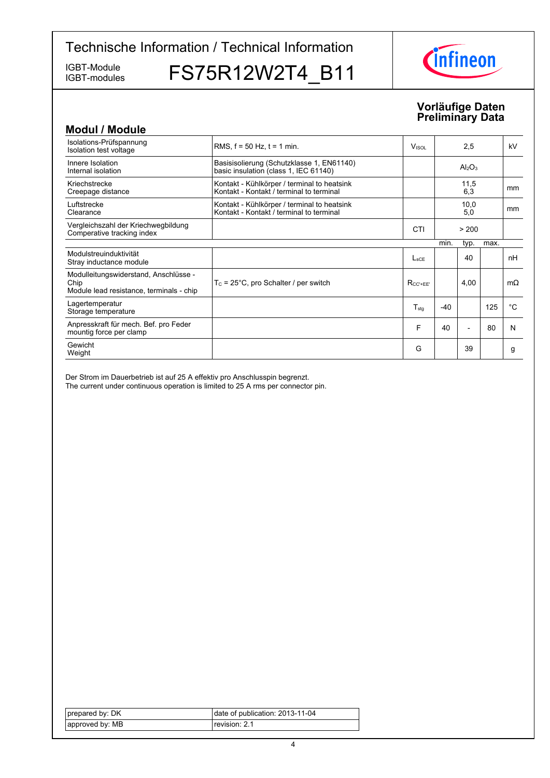IGBT-modules

IGBT-Modules FS75R12W2T4\_B11



#### **Vorläufige-Daten Preliminary-Data**

| <b>Modul / Module</b>                                                                     |                                                                                         |                          |       |                                |      |           |
|-------------------------------------------------------------------------------------------|-----------------------------------------------------------------------------------------|--------------------------|-------|--------------------------------|------|-----------|
| Isolations-Prüfspannung<br>Isolation test voltage                                         | RMS, $f = 50$ Hz, $t = 1$ min.                                                          | <b>V</b> <sub>ISOL</sub> |       | 2,5                            |      | kV        |
| Innere Isolation<br>Internal isolation                                                    | Basisisolierung (Schutzklasse 1, EN61140)<br>basic insulation (class 1, IEC 61140)      |                          |       | Al <sub>2</sub> O <sub>3</sub> |      |           |
| Kriechstrecke<br>Creepage distance                                                        | Kontakt - Kühlkörper / terminal to heatsink<br>Kontakt - Kontakt / terminal to terminal |                          |       | 11,5<br>6,3                    |      | mm        |
| Luftstrecke<br>Clearance                                                                  | Kontakt - Kühlkörper / terminal to heatsink<br>Kontakt - Kontakt / terminal to terminal |                          |       | 10,0<br>5,0                    |      | mm        |
| Vergleichszahl der Kriechwegbildung<br>Comperative tracking index                         |                                                                                         | CTI                      |       | > 200                          |      |           |
|                                                                                           |                                                                                         |                          | min.  | typ.                           | max. |           |
| Modulstreuinduktivität<br>Stray inductance module                                         |                                                                                         | $L_{\rm{SCF}}$           |       | 40                             |      | nH        |
| Modulleitungswiderstand, Anschlüsse -<br>Chip<br>Module lead resistance, terminals - chip | $T_c = 25^{\circ}$ C, pro Schalter / per switch                                         | $R_{CC' + FF'}$          |       | 4,00                           |      | $m\Omega$ |
| Lagertemperatur<br>Storage temperature                                                    |                                                                                         | $T_{\sf stg}$            | $-40$ |                                | 125  | °C        |
| Anpresskraft für mech. Bef. pro Feder<br>mountig force per clamp                          |                                                                                         | F                        | 40    |                                | 80   | N         |
| Gewicht<br>Weight                                                                         |                                                                                         | G                        |       | 39                             |      | g         |

Der Strom im Dauerbetrieb ist auf 25 A effektiv pro Anschlusspin begrenzt. The current under continuous operation is limited to 25 A rms per connector pin.

| prepared by: DK | date of publication: 2013-11-04 |
|-----------------|---------------------------------|
| approved by: MB | revision: 2.1                   |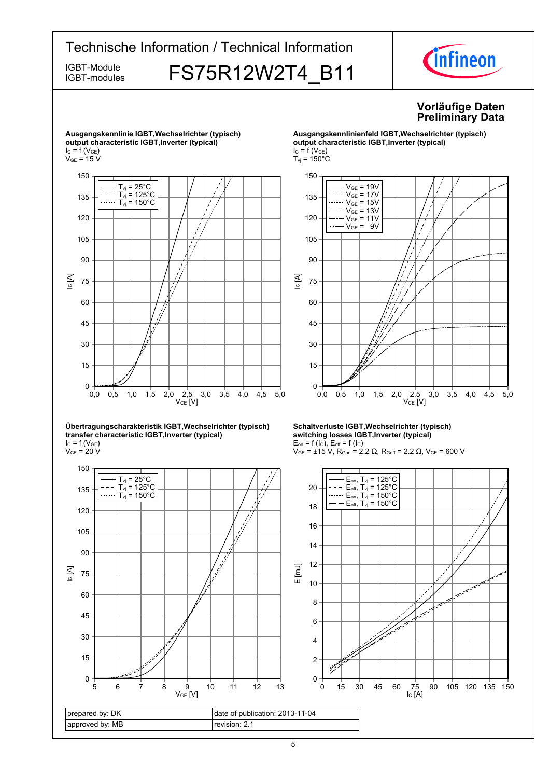#### Technische Information / Technical Information *Cinfineon* IGBT-Module **FS75R12W2T4 B11** IGBT-modules **Vorläufige-Daten Preliminary-Data Ausgangskennlinie-IGBT,Wechselrichter-(typisch) Ausgangskennlinienfeld-IGBT,Wechselrichter-(typisch) output-characteristic-IGBT,Inverter-(typical) output-characteristic-IGBT,Inverter-(typical)**  $I_{C} = f(V_{CE})$  $I_C = f(V_{CE})$  $V_{GE}$  = 15 V  $T_{\text{vj}}$  = 150 $^{\circ}$ C 150 150

135





 $\rm V_{CE}$  = 20 V



## $V_{GE}$  = 19V  $V_{GE} = 17V$  $V_{GE} = 15V$  $\overline{V_{GE}}$  = 13V  $V_{GE}$  = 11V



#### **Schaltverluste-IGBT,Wechselrichter-(typisch) switching-losses-IGBT,Inverter-(typical)**  $E_{on}$  = f (l<sub>C</sub>),  $E_{off}$  = f (l<sub>C</sub>)

 $V_{GE}$  = ±15 V, R<sub>Gon</sub> = 2.2 Ω, R<sub>Goff</sub> = 2.2 Ω, V<sub>CE</sub> = 600 V

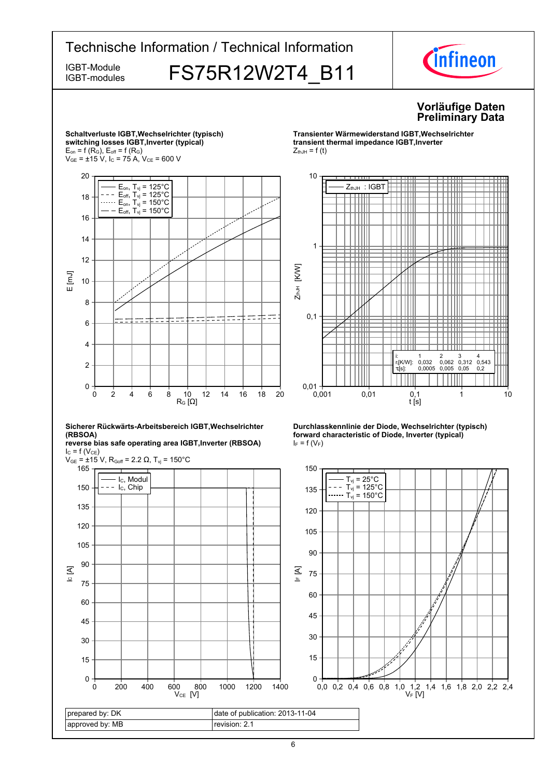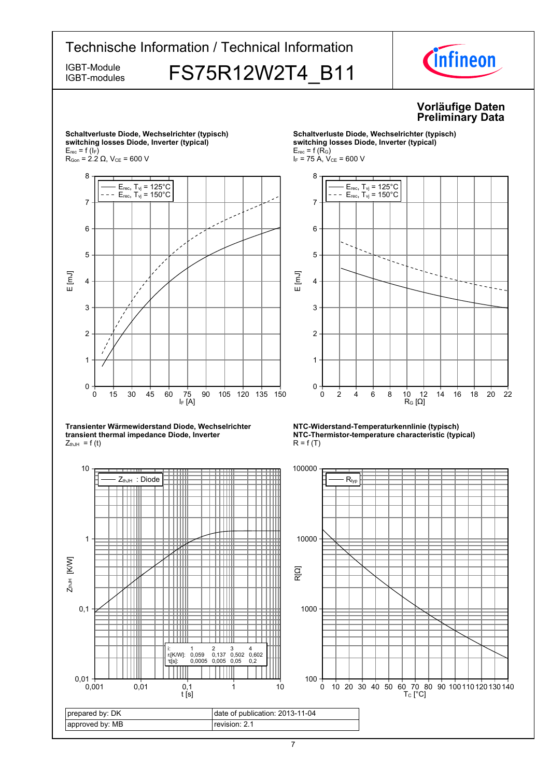

7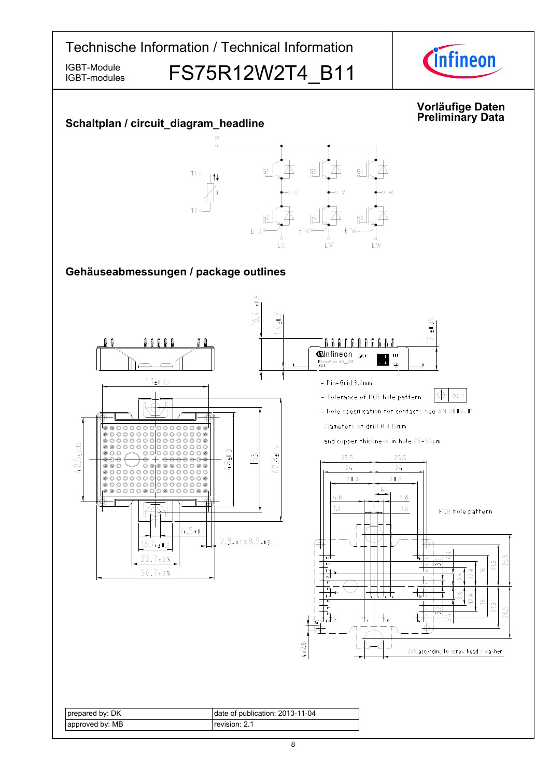

IGBT-modules

IGBT-Module **FS75R12W2T4 B11**